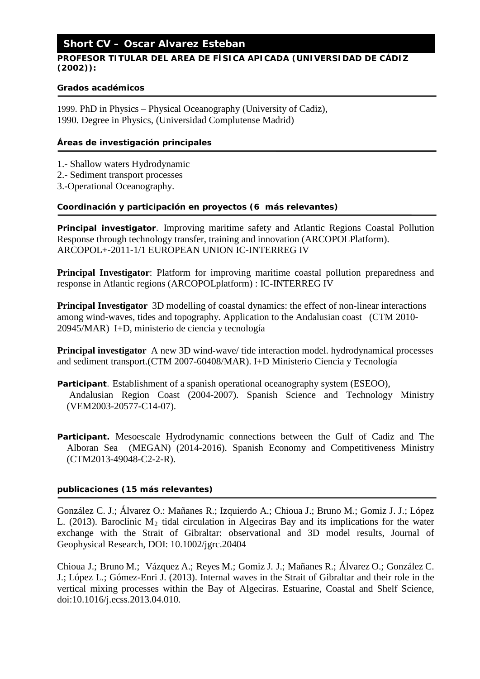# **Short CV – Oscar Alvarez Esteban**

## **PROFESOR TITULAR DEL AREA DE FÍSICA APICADA (UNIVERSIDAD DE CÁDIZ (2002)):**

#### *Grados académicos*

1999. PhD in Physics – Physical Oceanography (University of Cadiz), 1990. Degree in Physics, (Universidad Complutense Madrid)

## *Áreas de investigación principales*

- 1.- Shallow waters Hydrodynamic
- 2.- Sediment transport processes
- 3.-Operational Oceanography.

#### *Coordinación y participación en proyectos (6 más relevantes)*

**Principal investigator**. Improving maritime safety and Atlantic Regions Coastal Pollution Response through technology transfer, training and innovation (ARCOPOLPlatform). ARCOPOL+-2011-1/1 EUROPEAN UNION IC-INTERREG IV

**Principal Investigator**: Platform for improving maritime coastal pollution preparedness and response in Atlantic regions (ARCOPOLplatform) : IC-INTERREG IV

**Principal Investigator** 3D modelling of coastal dynamics: the effect of non-linear interactions among wind-waves, tides and topography. Application to the Andalusian coast (CTM 2010- 20945/MAR) I+D, ministerio de ciencia y tecnología

**Principal investigator** A new 3D wind-wave/ tide interaction model. hydrodynamical processes and sediment transport.(CTM 2007-60408/MAR). I+D Ministerio Ciencia y Tecnología

- **Participant**. Establishment of a spanish operational oceanography system (ESEOO), Andalusian Region Coast (2004-2007). Spanish Science and Technology Ministry (VEM2003-20577-C14-07).
- **Participant.** Mesoescale Hydrodynamic connections between the Gulf of Cadiz and The Alboran Sea (MEGAN) (2014-2016). Spanish Economy and Competitiveness Ministry (CTM2013-49048-C2-2-R).

## *publicaciones* **(15 más relevantes)**

González C. J.; Álvarez O.: Mañanes R.; Izquierdo A.; Chioua J.; Bruno M.; Gomiz J. J.; López L. (2013). Baroclinic  $M_2$  tidal circulation in Algeciras Bay and its implications for the water exchange with the Strait of Gibraltar: observational and 3D model results, Journal of Geophysical Research, DOI: 10.1002/jgrc.20404

Chioua J.; Bruno M.; Vázquez A.; Reyes M.; Gomiz J. J.; Mañanes R.; Álvarez O.; González C. J.; López L.; Gómez-Enri J. (2013). Internal waves in the Strait of Gibraltar and their role in the vertical mixing processes within the Bay of Algeciras. Estuarine, Coastal and Shelf Science, doi:10.1016/j.ecss.2013.04.010.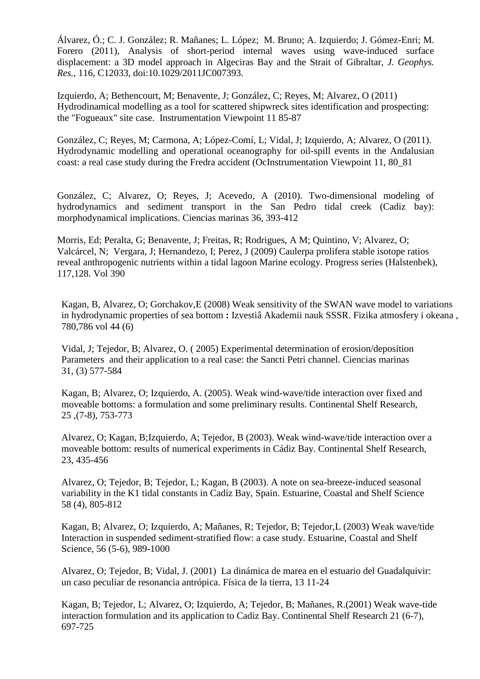Álvarez, Ó.; C. J. González; R. Mañanes; L. López; M. Bruno; A. Izquierdo; J. Gómez-Enri; M. Forero (2011), Analysis of short-period internal waves using wave-induced surface displacement: a 3D model approach in Algeciras Bay and the Strait of Gibraltar, *J. Geophys. Res.*, 116, C12033, doi:10.1029/2011JC007393.

Izquierdo, A; Bethencourt, M; Benavente, J; González, C; Reyes, M; Alvarez, O (2011) Hydrodinamical modelling as a tool for scattered shipwreck sites identification and prospecting: the "Fogueaux" site case. Instrumentation Viewpoint 11 85-87

González, C; Reyes, M; Carmona, A; López-Comí, L; Vidal, J; Izquierdo, A; Alvarez, O (2011). Hydrodynamic modelling and operational oceanography for oil-spill events in the Andalusian coast: a real case study during the Fredra accident (OcInstrumentation Viewpoint 11, 80\_81

González, C; Alvarez, O; Reyes, J; Acevedo, A (2010). Two-dimensional modeling of hydrodynamics and sediment transport in the San Pedro tidal creek (Cadiz bay): morphodynamical implications. Ciencias marinas 36, 393-412

Morris, Ed; Peralta, G; Benavente, J; Freitas, R; Rodrigues, A M; Quintino, V; Alvarez, O; Valcárcel, N; Vergara, J; Hernandezo, I; Perez, J (2009) Caulerpa prolifera stable isotope ratios reveal anthropogenic nutrients within a tidal lagoon Marine ecology. Progress series (Halstenbek), 117,128. Vol 390

Kagan, B, Alvarez, O; Gorchakov,E (2008) Weak sensitivity of the SWAN wave model to variations in hydrodynamic properties of sea bottom **:** Izvestiâ Akademii nauk SSSR. Fizika atmosfery i okeana , 780,786 vol 44 (6)

Vidal, J; Tejedor, B; Alvarez, O. ( 2005) Experimental determination of erosion/deposition Parameters and their application to a real case: the Sancti Petri channel. Ciencias marinas 31, (3) 577-584

Kagan, B; Alvarez, O; Izquierdo, A. (2005). Weak wind-wave/tide interaction over fixed and moveable bottoms: a formulation and some preliminary results. Continental Shelf Research, 25 ,(7-8), 753-773

Alvarez, O; Kagan, B;Izquierdo, A; Tejedor, B (2003). Weak wind-wave/tide interaction over a moveable bottom: results of numerical experiments in Cádiz Bay. Continental Shelf Research, 23, 435-456

Alvarez, O; Tejedor, B; Tejedor, L; Kagan, B (2003). A note on sea-breeze-induced seasonal variability in the K1 tidal constants in Cadiz Bay, Spain. Estuarine, Coastal and Shelf Science 58 (4), 805-812

Kagan, B; Alvarez, O; Izquierdo, A; Mañanes, R; Tejedor, B; Tejedor,L (2003) Weak wave/tide Interaction in suspended sediment-stratified flow: a case study. Estuarine, Coastal and Shelf Science, 56 (5-6), 989-1000

Alvarez, O; Tejedor, B; Vidal, J. (2001) La dinámica de marea en el estuario del Guadalquivir: un caso peculiar de resonancia antrópica. Física de la tierra, 13 11-24

Kagan, B; Tejedor, L; Alvarez, O; Izquierdo, A; Tejedor, B; Mañanes, R.(2001) Weak wave-tide interaction formulation and its application to Cadiz Bay. Continental Shelf Research 21 (6-7), 697-725